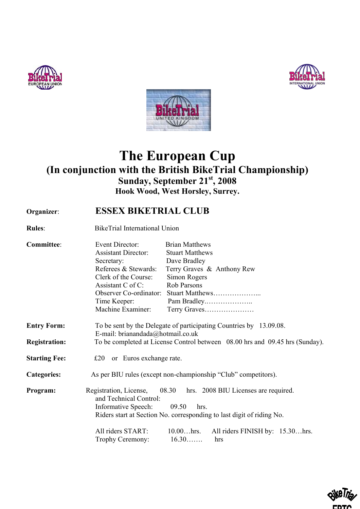





## **The European Cup (In conjunction with the British BikeTrial Championship) Sunday, September 21st, 2008 Hook Wood, West Horsley, Surrey.**

## **Organizer**: **ESSEX BIKETRIAL CLUB**

**Rules**: BikeTrial International Union

| <b>Committee:</b>    | Event Director:<br><b>Assistant Director:</b><br>Secretary:<br>Referees & Stewards:<br>Clerk of the Course:<br>Assistant C of C:<br>Time Keeper:<br>Machine Examiner: | <b>Brian Matthews</b><br><b>Stuart Matthews</b><br>Dave Bradley<br>Terry Graves & Anthony Rew<br>Simon Rogers<br>Rob Parsons<br>Pam Bradley<br>Terry Graves                                             |
|----------------------|-----------------------------------------------------------------------------------------------------------------------------------------------------------------------|---------------------------------------------------------------------------------------------------------------------------------------------------------------------------------------------------------|
| <b>Entry Form:</b>   | To be sent by the Delegate of participating Countries by 13.09.08.<br>E-mail: brianandada@hotmail.co.uk                                                               |                                                                                                                                                                                                         |
| <b>Registration:</b> | To be completed at License Control between 08.00 hrs and 09.45 hrs (Sunday).                                                                                          |                                                                                                                                                                                                         |
| <b>Starting Fee:</b> | $£20$ or Euros exchange rate.                                                                                                                                         |                                                                                                                                                                                                         |
| <b>Categories:</b>   |                                                                                                                                                                       | As per BIU rules (except non-championship "Club" competitors).                                                                                                                                          |
| Program:             | Registration, License,<br>and Technical Control:<br>Informative Speech:<br>All riders START:<br>Trophy Ceremony:                                                      | 08.30 hrs. 2008 BIU Licenses are required.<br>09.50<br>hrs.<br>Riders start at Section No. corresponding to last digit of riding No.<br>$10.00$ hrs.<br>All riders FINISH by: 15.30hrs.<br>16.30<br>hrs |

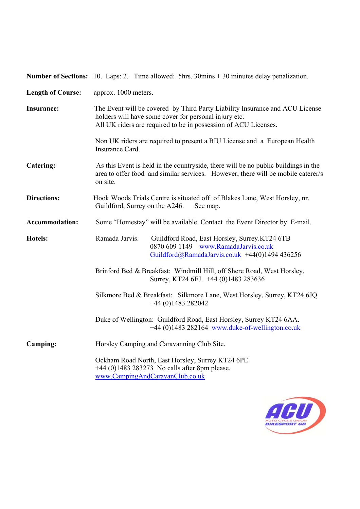**Number of Sections:** 10. Laps: 2. Time allowed: 5hrs. 30mins + 30 minutes delay penalization.

| <b>Length of Course:</b> | approx. 1000 meters.                                                                                                                                                                                     |  |  |
|--------------------------|----------------------------------------------------------------------------------------------------------------------------------------------------------------------------------------------------------|--|--|
| <b>Insurance:</b>        | The Event will be covered by Third Party Liability Insurance and ACU License<br>holders will have some cover for personal injury etc.<br>All UK riders are required to be in possession of ACU Licenses. |  |  |
|                          | Non UK riders are required to present a BIU License and a European Health<br>Insurance Card.                                                                                                             |  |  |
| Catering:                | As this Event is held in the countryside, there will be no public buildings in the<br>area to offer food and similar services. However, there will be mobile caterer/s<br>on site.                       |  |  |
| <b>Directions:</b>       | Hook Woods Trials Centre is situated off of Blakes Lane, West Horsley, nr.<br>Guildford, Surrey on the A246.<br>See map.                                                                                 |  |  |
| <b>Accommodation:</b>    | Some "Homestay" will be available. Contact the Event Director by E-mail.                                                                                                                                 |  |  |
| Hotels:                  | Ramada Jarvis.<br>Guildford Road, East Horsley, Surrey.KT24 6TB<br>0870 609 1149 www.RamadaJarvis.co.uk<br>Guildford@RamadaJarvis.co.uk +44(0)1494 436256                                                |  |  |
|                          | Brinford Bed & Breakfast: Windmill Hill, off Shere Road, West Horsley,<br>Surrey, KT24 6EJ. +44 (0)1483 283636                                                                                           |  |  |
|                          | Silkmore Bed & Breakfast: Silkmore Lane, West Horsley, Surrey, KT24 6JQ<br>$+44(0)1483282042$                                                                                                            |  |  |
|                          | Duke of Wellington: Guildford Road, East Horsley, Surrey KT24 6AA.<br>$+44$ (0)1483 282164 www.duke-of-wellington.co.uk                                                                                  |  |  |
| Camping:                 | Horsley Camping and Caravanning Club Site.                                                                                                                                                               |  |  |
|                          | Ockham Road North, East Horsley, Surrey KT24 6PE<br>$+44$ (0)1483 283273 No calls after 8pm please.<br>www.CampingAndCaravanClub.co.uk                                                                   |  |  |